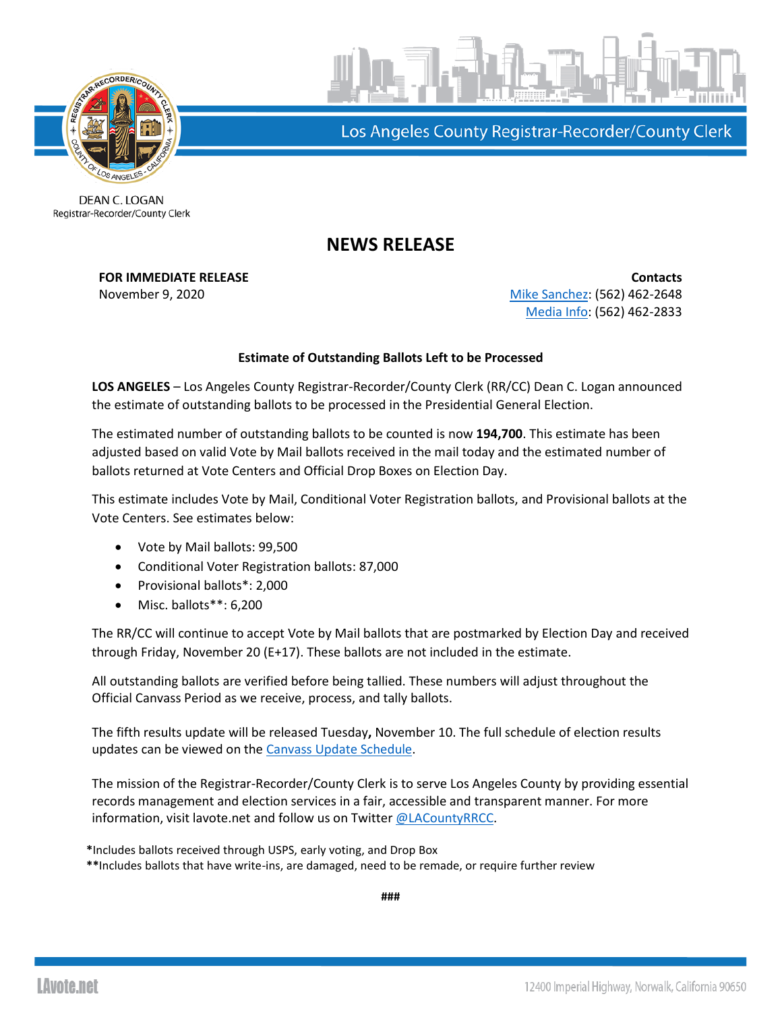



Los Angeles County Registrar-Recorder/County Clerk

DEAN C. LOGAN Registrar-Recorder/County Clerk

## **NEWS RELEASE**

**FOR IMMEDIATE RELEASE CONTACTS** November 9, 2020 **[Mike Sanchez:](mailto:msanchez@rrcc.lacounty.gov)** (562) 462-2648 [Media Info:](mailto:mediainfo@rrcc.lacounty.gov) (562) 462-2833

## **Estimate of Outstanding Ballots Left to be Processed**

**LOS ANGELES** – Los Angeles County Registrar-Recorder/County Clerk (RR/CC) Dean C. Logan announced the estimate of outstanding ballots to be processed in the Presidential General Election.

The estimated number of outstanding ballots to be counted is now **194,700**. This estimate has been adjusted based on valid Vote by Mail ballots received in the mail today and the estimated number of ballots returned at Vote Centers and Official Drop Boxes on Election Day.

This estimate includes Vote by Mail, Conditional Voter Registration ballots, and Provisional ballots at the Vote Centers. See estimates below:

- Vote by Mail ballots: 99,500
- Conditional Voter Registration ballots: 87,000
- Provisional ballots\*: 2,000
- Misc. ballots\*\*: 6,200

The RR/CC will continue to accept Vote by Mail ballots that are postmarked by Election Day and received through Friday, November 20 (E+17). These ballots are not included in the estimate.

All outstanding ballots are verified before being tallied. These numbers will adjust throughout the Official Canvass Period as we receive, process, and tally ballots.

The fifth results update will be released Tuesday**,** November 10. The full schedule of election results updates can be viewed on the [Canvass Update Schedule.](https://lavote.net/docs/rrcc/election-info/11032020_canvass-update-schedule.pdf?v=2)

The mission of the Registrar-Recorder/County Clerk is to serve Los Angeles County by providing essential records management and election services in a fair, accessible and transparent manner. For more information, visit lavote.net and follow us on Twitter [@LACountyRRCC.](https://twitter.com/LACountyRRCC)

**\***Includes ballots received through USPS, early voting, and Drop Box

**\*\***Includes ballots that have write-ins, are damaged, need to be remade, or require further review

**###**

**LAvote.net**